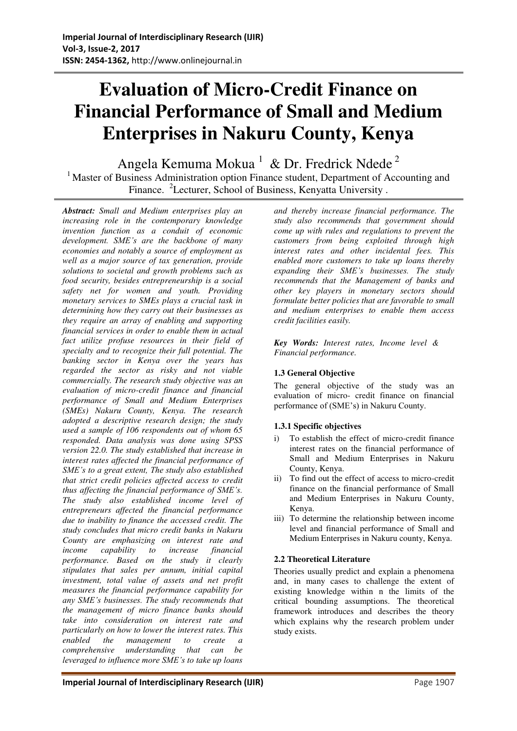# **Evaluation of Micro-Credit Finance on Financial Performance of Small and Medium Enterprises in Nakuru County, Kenya**

Angela Kemuma Mokua<sup>1</sup> & Dr. Fredrick Ndede<sup>2</sup>

<sup>1</sup> Master of Business Administration option Finance student, Department of Accounting and Finance. <sup>2</sup>Lecturer, School of Business, Kenyatta University.

*Abstract: Small and Medium enterprises play an increasing role in the contemporary knowledge invention function as a conduit of economic development. SME's are the backbone of many economies and notably a source of employment as well as a major source of tax generation, provide solutions to societal and growth problems such as food security, besides entrepreneurship is a social safety net for women and youth. Providing monetary services to SMEs plays a crucial task in determining how they carry out their businesses as they require an array of enabling and supporting financial services in order to enable them in actual fact utilize profuse resources in their field of specialty and to recognize their full potential. The banking sector in Kenya over the years has regarded the sector as risky and not viable commercially. The research study objective was an evaluation of micro-credit finance and financial performance of Small and Medium Enterprises (SMEs) Nakuru County, Kenya. The research adopted a descriptive research design; the study used a sample of 106 respondents out of whom 65 responded. Data analysis was done using SPSS version 22.0. The study established that increase in interest rates affected the financial performance of SME's to a great extent, The study also established that strict credit policies affected access to credit thus affecting the financial performance of SME's. The study also established income level of entrepreneurs affected the financial performance due to inability to finance the accessed credit. The study concludes that micro credit banks in Nakuru County are emphasizing on interest rate and income capability to increase financial performance. Based on the study it clearly stipulates that sales per annum, initial capital investment, total value of assets and net profit measures the financial performance capability for any SME's businesses. The study recommends that the management of micro finance banks should take into consideration on interest rate and particularly on how to lower the interest rates. This enabled the management to create a comprehensive understanding that can be leveraged to influence more SME's to take up loans* 

*and thereby increase financial performance. The study also recommends that government should come up with rules and regulations to prevent the customers from being exploited through high interest rates and other incidental fees. This enabled more customers to take up loans thereby expanding their SME's businesses. The study recommends that the Management of banks and other key players in monetary sectors should formulate better policies that are favorable to small and medium enterprises to enable them access credit facilities easily.*

*Key Words: Interest rates, Income level & Financial performance.*

# **1.3 General Objective**

The general objective of the study was an evaluation of micro- credit finance on financial performance of (SME's) in Nakuru County.

# **1.3.1 Specific objectives**

- i) To establish the effect of micro-credit finance interest rates on the financial performance of Small and Medium Enterprises in Nakuru County, Kenya.
- ii) To find out the effect of access to micro-credit finance on the financial performance of Small and Medium Enterprises in Nakuru County, Kenya.
- iii) To determine the relationship between income level and financial performance of Small and Medium Enterprises in Nakuru county, Kenya.

# **2.2 Theoretical Literature**

Theories usually predict and explain a phenomena and, in many cases to challenge the extent of existing knowledge within n the limits of the critical bounding assumptions. The theoretical framework introduces and describes the theory which explains why the research problem under study exists.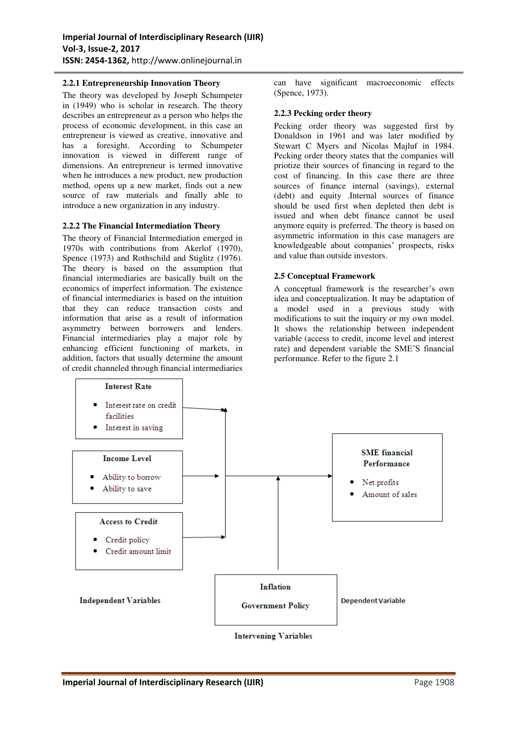# **2.2.1 Entrepreneurship Innovation Theory**

The theory was developed by Joseph Schumpeter in (1949) who is scholar in research. The theory describes an entrepreneur as a person who helps the process of economic development, in this case an entrepreneur is viewed as creative, innovative and has a foresight. According to Schumpeter innovation is viewed in different range of dimensions. An entrepreneur is termed innovative when he introduces a new product, new production method, opens up a new market, finds out a new source of raw materials and finally able to introduce a new organization in any industry.

# **2.2.2 The Financial Intermediation Theory**

The theory of Financial Intermediation emerged in 1970s with contributions from Akerlof (1970), Spence (1973) and Rothschild and Stiglitz (1976). The theory is based on the assumption that financial intermediaries are basically built on the economics of imperfect information. The existence of financial intermediaries is based on the intuition that they can reduce transaction costs and information that arise as a result of information asymmetry between borrowers and lenders. Financial intermediaries play a major role by enhancing efficient functioning of markets, in addition, factors that usually determine the amount of credit channeled through financial intermediaries

can have significant macroeconomic effects (Spence, 1973).

### **2.2.3 Pecking order theory**

Pecking order theory was suggested first by Donaldson in 1961 and was later modified by Stewart C Myers and Nicolas Majluf in 1984. Pecking order theory states that the companies will priotize their sources of financing in regard to the cost of financing. In this case there are three sources of finance internal (savings), external (debt) and equity .Internal sources of finance should be used first when depleted then debt is issued and when debt finance cannot be used anymore equity is preferred. The theory is based on asymmetric information in this case managers are knowledgeable about companies' prospects, risks and value than outside investors.

# **2.5 Conceptual Framework**

A conceptual framework is the researcher's own idea and conceptualization. It may be adaptation of a model used in a previous study with modifications to suit the inquiry or my own model. It shows the relationship between independent variable (access to credit, income level and interest rate) and dependent variable the SME'S financial performance. Refer to the figure 2.1

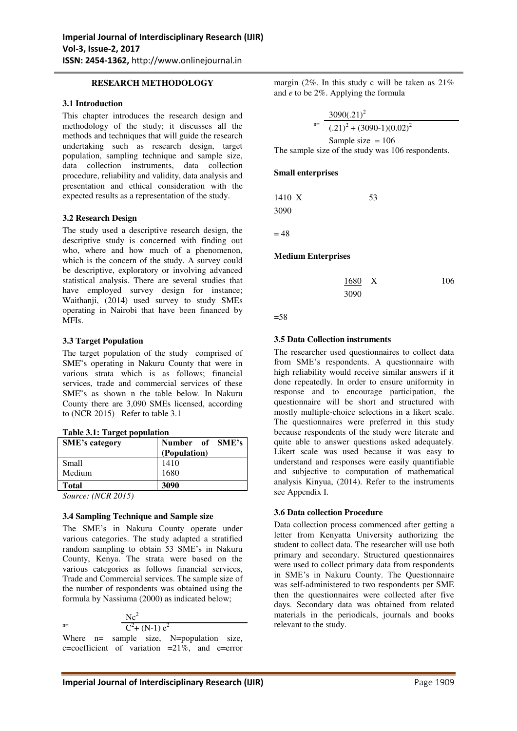### **RESEARCH METHODOLOGY**

### **3.1 Introduction**

This chapter introduces the research design and methodology of the study; it discusses all the methods and techniques that will guide the research undertaking such as research design, target population, sampling technique and sample size, data collection instruments, data collection procedure, reliability and validity, data analysis and presentation and ethical consideration with the expected results as a representation of the study.

### **3.2 Research Design**

The study used a descriptive research design, the descriptive study is concerned with finding out who, where and how much of a phenomenon, which is the concern of the study. A survey could be descriptive, exploratory or involving advanced statistical analysis. There are several studies that have employed survey design for instance; Waithanji, (2014) used survey to study SMEs operating in Nairobi that have been financed by MFIs.

### **3.3 Target Population**

The target population of the study comprised of SME"s operating in Nakuru County that were in various strata which is as follows; financial services, trade and commercial services of these SME"s as shown n the table below. In Nakuru County there are 3,090 SMEs licensed, according to (NCR 2015) Refer to table 3.1

| <b>SME's category</b> | Number of SME's<br>(Population) |
|-----------------------|---------------------------------|
| Small                 | 1410                            |
| Medium                | 1680                            |
| <b>Total</b>          | 3090                            |
| -                     |                                 |

*Source: (NCR 2015)*

### **3.4 Sampling Technique and Sample size**

The SME's in Nakuru County operate under various categories. The study adapted a stratified random sampling to obtain 53 SME's in Nakuru County, Kenya. The strata were based on the various categories as follows financial services, Trade and Commercial services. The sample size of the number of respondents was obtained using the formula by Nassiuma (2000) as indicated below;

 $n=$ 

 $Nc^2$  $C^2$ + (N-1)  $e^2$ 

Where n= sample size, N=population size, c=coefficient of variation =21%, and e=error margin (2%. In this study c will be taken as 21% and *e* to be 2%. Applying the formula

 n=  $3090(.21)^2$  $(.21)^{2} + (3090-1)(0.02)^{2}$ Sample size  $= 106$ The sample size of the study was 106 respondents.

### **Small enterprises**

1410 X 53 3090

 $= 48$ 

### **Medium Enterprises**

| 1680 X |  | 106 |
|--------|--|-----|
| 3090   |  |     |

```
=58
```
### **3.5 Data Collection instruments**

The researcher used questionnaires to collect data from SME's respondents. A questionnaire with high reliability would receive similar answers if it done repeatedly. In order to ensure uniformity in response and to encourage participation, the questionnaire will be short and structured with mostly multiple-choice selections in a likert scale. The questionnaires were preferred in this study because respondents of the study were literate and quite able to answer questions asked adequately. Likert scale was used because it was easy to understand and responses were easily quantifiable and subjective to computation of mathematical analysis Kinyua, (2014). Refer to the instruments see Appendix I.

### **3.6 Data collection Procedure**

Data collection process commenced after getting a letter from Kenyatta University authorizing the student to collect data. The researcher will use both primary and secondary. Structured questionnaires were used to collect primary data from respondents in SME's in Nakuru County. The Questionnaire was self-administered to two respondents per SME then the questionnaires were collected after five days. Secondary data was obtained from related materials in the periodicals, journals and books relevant to the study.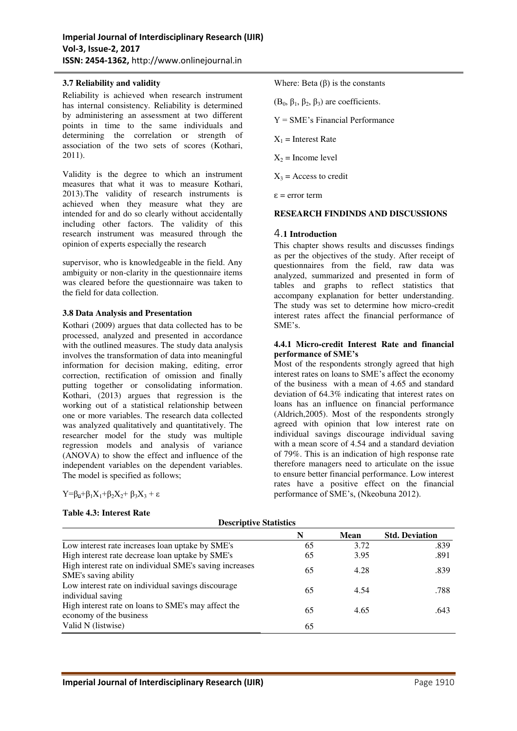### **3.7 Reliability and validity**

Reliability is achieved when research instrument has internal consistency. Reliability is determined by administering an assessment at two different points in time to the same individuals and determining the correlation or strength of association of the two sets of scores (Kothari, 2011).

Validity is the degree to which an instrument measures that what it was to measure Kothari, 2013).The validity of research instruments is achieved when they measure what they are intended for and do so clearly without accidentally including other factors. The validity of this research instrument was measured through the opinion of experts especially the research

supervisor, who is knowledgeable in the field. Any ambiguity or non-clarity in the questionnaire items was cleared before the questionnaire was taken to the field for data collection.

### **3.8 Data Analysis and Presentation**

Kothari (2009) argues that data collected has to be processed, analyzed and presented in accordance with the outlined measures. The study data analysis involves the transformation of data into meaningful information for decision making, editing, error correction, rectification of omission and finally putting together or consolidating information. Kothari, (2013) argues that regression is the working out of a statistical relationship between one or more variables. The research data collected was analyzed qualitatively and quantitatively. The researcher model for the study was multiple regression models and analysis of variance (ANOVA) to show the effect and influence of the independent variables on the dependent variables. The model is specified as follows;

 $Y=\beta_0+\beta_1X_1+\beta_2X_2+\beta_3X_3+\varepsilon$ 

### **Table 4.3: Interest Rate**

Where: Beta  $(\beta)$  is the constants

 $(B_0, \beta_1, \beta_2, \beta_3)$  are coefficients.

Y = SME's Financial Performance

 $X_1$  = Interest Rate

 $X_2$  = Income level

 $X_3$  = Access to credit

 $\varepsilon$  = error term

### **RESEARCH FINDINDS AND DISCUSSIONS**

### 4.**1 Introduction**

This chapter shows results and discusses findings as per the objectives of the study. After receipt of questionnaires from the field, raw data was analyzed, summarized and presented in form of tables and graphs to reflect statistics that accompany explanation for better understanding. The study was set to determine how micro-credit interest rates affect the financial performance of SME's.

### **4.4.1 Micro-credit Interest Rate and financial performance of SME's**

Most of the respondents strongly agreed that high interest rates on loans to SME's affect the economy of the business with a mean of 4.65 and standard deviation of 64.3% indicating that interest rates on loans has an influence on financial performance (Aldrich,2005). Most of the respondents strongly agreed with opinion that low interest rate on individual savings discourage individual saving with a mean score of 4.54 and a standard deviation of 79%. This is an indication of high response rate therefore managers need to articulate on the issue to ensure better financial performance. Low interest rates have a positive effect on the financial performance of SME's, (Nkeobuna 2012).

|                                                                                 | N  | <b>Mean</b> | <b>Std. Deviation</b> |
|---------------------------------------------------------------------------------|----|-------------|-----------------------|
| Low interest rate increases loan uptake by SME's                                | 65 | 3.72        | .839                  |
| High interest rate decrease loan uptake by SME's                                | 65 | 3.95        | .891                  |
| High interest rate on individual SME's saving increases<br>SME's saving ability | 65 | 4.28        | .839                  |
| Low interest rate on individual savings discourage<br>individual saving         | 65 | 4.54        | .788                  |
| High interest rate on loans to SME's may affect the<br>economy of the business  | 65 | 4.65        | .643                  |
| Valid N (listwise)                                                              | 65 |             |                       |

### **Descriptive Statistics**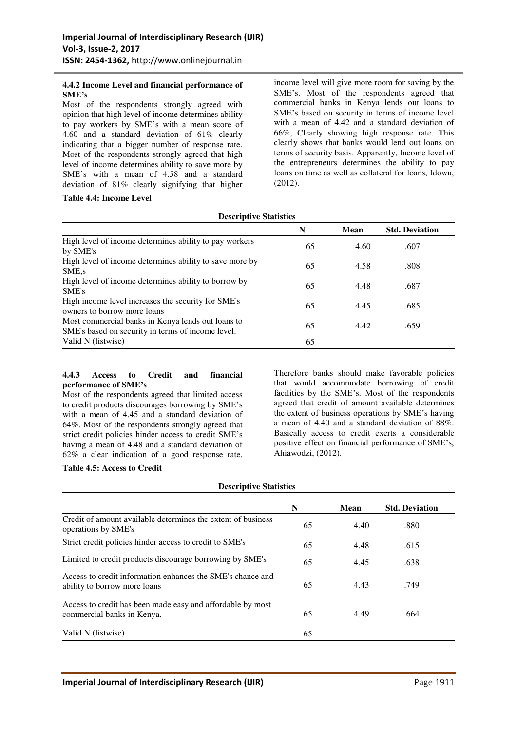### **4.4.2 Income Level and financial performance of SME's**

Most of the respondents strongly agreed with opinion that high level of income determines ability to pay workers by SME's with a mean score of 4.60 and a standard deviation of 61% clearly indicating that a bigger number of response rate. Most of the respondents strongly agreed that high level of income determines ability to save more by SME's with a mean of 4.58 and a standard deviation of 81% clearly signifying that higher

**Table 4.4: Income Level** 

income level will give more room for saving by the SME's. Most of the respondents agreed that commercial banks in Kenya lends out loans to SME's based on security in terms of income level with a mean of 4.42 and a standard deviation of 66%, Clearly showing high response rate. This clearly shows that banks would lend out loans on terms of security basis. Apparently, Income level of the entrepreneurs determines the ability to pay loans on time as well as collateral for loans, Idowu, (2012).

# **Descriptive Statistics N Mean Std. Deviation**  High level of income determines ability to pay workers 65 4.60 .607 .607 High level of income determines ability to save more by  $65$  4.58 .808 .808 High level of income determines ability to borrow by SME's 687 High income level increases the security for SME's owners to borrow more loans 65  $4.45$  .685 owners to borrow more loans Most commercial banks in Kenya lends out loans to SME's based on security in terms of income level. 65 65 4.42 .659 Valid N (listwise) 65

# **4.4.3 Access to Credit and financial performance of SME's**

Most of the respondents agreed that limited access to credit products discourages borrowing by SME's with a mean of 4.45 and a standard deviation of 64%. Most of the respondents strongly agreed that strict credit policies hinder access to credit SME's having a mean of 4.48 and a standard deviation of 62% a clear indication of a good response rate.

Therefore banks should make favorable policies that would accommodate borrowing of credit facilities by the SME's. Most of the respondents agreed that credit of amount available determines the extent of business operations by SME's having a mean of 4.40 and a standard deviation of 88%. Basically access to credit exerts a considerable positive effect on financial performance of SME's, Ahiawodzi, (2012).

### **Table 4.5: Access to Credit**

|                                                                                            | N  | Mean | <b>Std. Deviation</b> |
|--------------------------------------------------------------------------------------------|----|------|-----------------------|
| Credit of amount available determines the extent of business<br>operations by SME's        | 65 | 4.40 | .880                  |
| Strict credit policies hinder access to credit to SME's                                    | 65 | 4.48 | .615                  |
| Limited to credit products discourage borrowing by SME's                                   | 65 | 4.45 | .638                  |
| Access to credit information enhances the SME's chance and<br>ability to borrow more loans | 65 | 4.43 | .749                  |
| Access to credit has been made easy and affordable by most<br>commercial banks in Kenya.   | 65 | 4.49 | .664                  |
| Valid N (listwise)                                                                         | 65 |      |                       |

**Descriptive Statistics**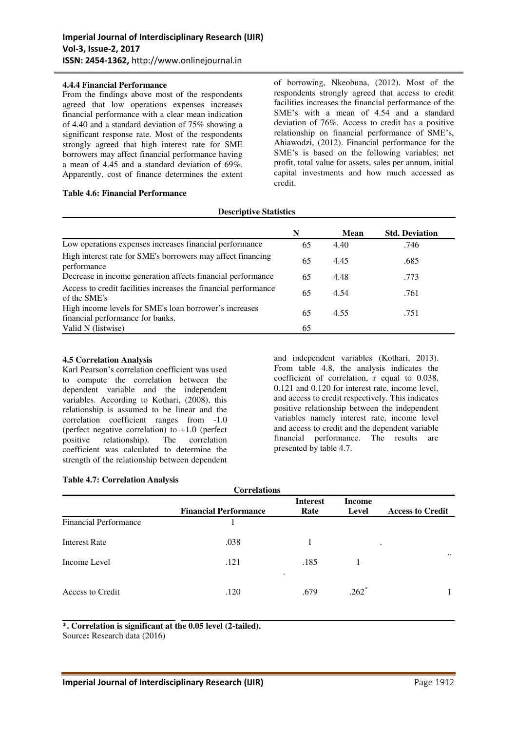### **4.4.4 Financial Performance**

From the findings above most of the respondents agreed that low operations expenses increases financial performance with a clear mean indication of 4.40 and a standard deviation of 75% showing a significant response rate. Most of the respondents strongly agreed that high interest rate for SME borrowers may affect financial performance having a mean of 4.45 and a standard deviation of 69%. Apparently, cost of finance determines the extent

### **Table 4.6: Financial Performance**

of borrowing, Nkeobuna, (2012). Most of the respondents strongly agreed that access to credit facilities increases the financial performance of the SME's with a mean of 4.54 and a standard deviation of 76%. Access to credit has a positive relationship on financial performance of SME's, Ahiawodzi, (2012). Financial performance for the SME's is based on the following variables; net profit, total value for assets, sales per annum, initial capital investments and how much accessed as credit.

### **Descriptive Statistics**

|                                                                                            | N  | Mean | <b>Std. Deviation</b> |
|--------------------------------------------------------------------------------------------|----|------|-----------------------|
| Low operations expenses increases financial performance                                    | 65 | 4.40 | .746                  |
| High interest rate for SME's borrowers may affect financing<br>performance                 | 65 | 4.45 | .685                  |
| Decrease in income generation affects financial performance                                | 65 | 4.48 | .773                  |
| Access to credit facilities increases the financial performance<br>of the SME's            | 65 | 4.54 | .761                  |
| High income levels for SME's loan borrower's increases<br>financial performance for banks. | 65 | 4.55 | .751                  |
| Valid N (listwise)                                                                         | 65 |      |                       |

### **4.5 Correlation Analysis**

Karl Pearson's correlation coefficient was used to compute the correlation between the dependent variable and the independent variables. According to Kothari, (2008), this relationship is assumed to be linear and the correlation coefficient ranges from -1.0 (perfect negative correlation) to +1.0 (perfect positive relationship). The correlation relationship). The correlation coefficient was calculated to determine the strength of the relationship between dependent

and independent variables (Kothari, 2013). From table 4.8, the analysis indicates the coefficient of correlation, r equal to 0.038, 0.121 and 0.120 for interest rate, income level, and access to credit respectively. This indicates positive relationship between the independent variables namely interest rate, income level and access to credit and the dependent variable financial performance. The results are presented by table 4.7.

### **Table 4.7: Correlation Analysis**

| Correlations                 |                              |                         |                        |                         |  |  |
|------------------------------|------------------------------|-------------------------|------------------------|-------------------------|--|--|
|                              | <b>Financial Performance</b> | <b>Interest</b><br>Rate | <b>Income</b><br>Level | <b>Access to Credit</b> |  |  |
| <b>Financial Performance</b> |                              |                         |                        |                         |  |  |
| <b>Interest Rate</b>         | .038                         |                         |                        | ٠                       |  |  |
| Income Level                 | .121                         | .185<br>$\bullet$       |                        | $\ddotsc$               |  |  |
| Access to Credit             | .120                         | .679                    | $.262*$                |                         |  |  |

**Correlations**

**\*. Correlation is significant at the 0.05 level (2-tailed).** 

Source**:** Research data (2016)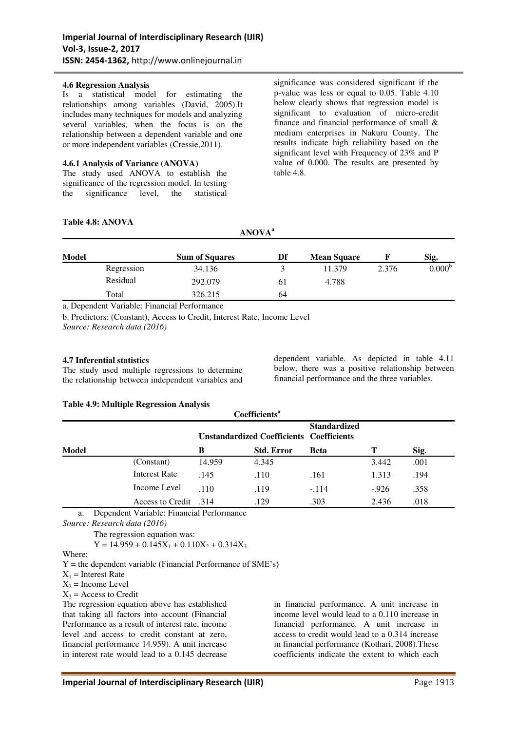### **4.6 Regression Analysis**

Is a statistical model for estimating the relationships among variables (David, 2005).It includes many techniques for models and analyzing several variables, when the focus is on the relationship between a dependent variable and one or more independent variables (Cressie,2011).

### **4.6.1 Analysis of Variance (ANOVA)**

The study used ANOVA to establish the significance of the regression model. In testing the significance level, the statistical

significance was considered significant if the p-value was less or equal to 0.05. Table 4.10 below clearly shows that regression model is significant to evaluation of micro-credit finance and financial performance of small & medium enterprises in Nakuru County. The results indicate high reliability based on the significant level with Frequency of 23% and P value of 0.000. The results are presented by table 4.8.

# **Table 4.8: ANOVA**

| <b>Model</b> |            | <b>Sum of Squares</b> | Df | <b>Mean Square</b> |       | Sig.               |
|--------------|------------|-----------------------|----|--------------------|-------|--------------------|
|              | Regression | 34.136                |    | 11.379             | 2.376 | 0.000 <sup>b</sup> |
|              | Residual   | 292.079               | 61 | 4.788              |       |                    |
|              | Total      | 326.215               | 64 |                    |       |                    |

**ANOVA<sup>a</sup>**

a. Dependent Variable: Financial Performance

b. Predictors: (Constant), Access to Credit, Interest Rate, Income Level *Source: Research data (2016)* 

### **4.7 Inferential statistics**

The study used multiple regressions to determine the relationship between independent variables and dependent variable. As depicted in table 4.11 below, there was a positive relationship between financial performance and the three variables.

### **Table 4.9: Multiple Regression Analysis**

| Coefficients <sup>a</sup> |                              |        |                                                 |                     |        |      |
|---------------------------|------------------------------|--------|-------------------------------------------------|---------------------|--------|------|
|                           |                              |        | <b>Unstandardized Coefficients Coefficients</b> | <b>Standardized</b> |        |      |
| <b>Model</b>              |                              | B      | <b>Std. Error</b>                               | <b>Beta</b>         | Т      | Sig. |
|                           | (Constant)                   | 14.959 | 4.345                                           |                     | 3.442  | .001 |
|                           | <b>Interest Rate</b>         | .145   | .110                                            | .161                | 1.313  | .194 |
|                           | Income Level                 | .110   | .119                                            | $-.114$             | $-926$ | .358 |
|                           | <b>Access to Credit</b> .314 |        | .129                                            | .303                | 2.436  | .018 |

a. Dependent Variable: Financial Performance

*Source: Research data (2016)* 

The regression equation was:

 $Y = 14.959 + 0.145X_1 + 0.110X_2 + 0.314X_3$ 

Where;

 $Y =$  the dependent variable (Financial Performance of SME's)

 $X_1$  = Interest Rate

 $X_2$  = Income Level

 $X_3$  = Access to Credit

The regression equation above has established that taking all factors into account (Financial Performance as a result of interest rate, income level and access to credit constant at zero, financial performance 14.959). A unit increase in interest rate would lead to a 0.145 decrease

in financial performance. A unit increase in income level would lead to a 0.110 increase in financial performance. A unit increase in access to credit would lead to a 0.314 increase in financial performance (Kothari, 2008).These coefficients indicate the extent to which each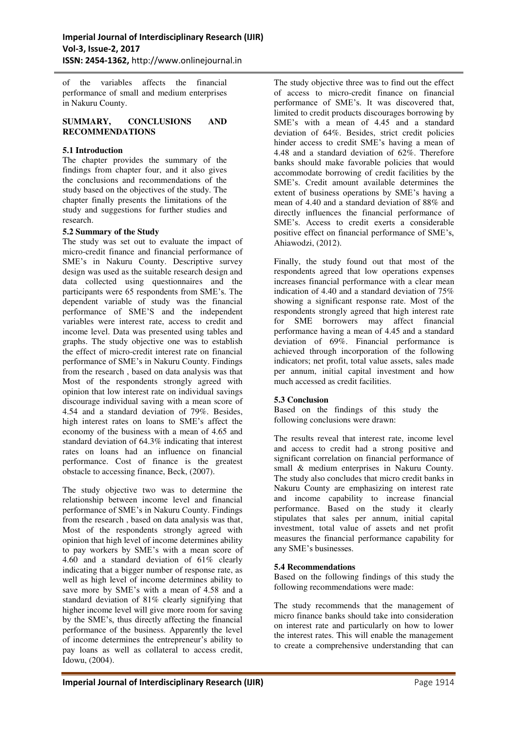of the variables affects the financial performance of small and medium enterprises in Nakuru County.

### **SUMMARY, CONCLUSIONS AND RECOMMENDATIONS**

# **5.1 Introduction**

The chapter provides the summary of the findings from chapter four, and it also gives the conclusions and recommendations of the study based on the objectives of the study. The chapter finally presents the limitations of the study and suggestions for further studies and research.

# **5.2 Summary of the Study**

The study was set out to evaluate the impact of micro-credit finance and financial performance of SME's in Nakuru County. Descriptive survey design was used as the suitable research design and data collected using questionnaires and the participants were 65 respondents from SME's. The dependent variable of study was the financial performance of SME'S and the independent variables were interest rate, access to credit and income level. Data was presented using tables and graphs. The study objective one was to establish the effect of micro-credit interest rate on financial performance of SME's in Nakuru County. Findings from the research , based on data analysis was that Most of the respondents strongly agreed with opinion that low interest rate on individual savings discourage individual saving with a mean score of 4.54 and a standard deviation of 79%. Besides, high interest rates on loans to SME's affect the economy of the business with a mean of 4.65 and standard deviation of 64.3% indicating that interest rates on loans had an influence on financial performance. Cost of finance is the greatest obstacle to accessing finance, Beck, (2007).

The study objective two was to determine the relationship between income level and financial performance of SME's in Nakuru County. Findings from the research , based on data analysis was that, Most of the respondents strongly agreed with opinion that high level of income determines ability to pay workers by SME's with a mean score of 4.60 and a standard deviation of 61% clearly indicating that a bigger number of response rate, as well as high level of income determines ability to save more by SME's with a mean of 4.58 and a standard deviation of 81% clearly signifying that higher income level will give more room for saving by the SME's, thus directly affecting the financial performance of the business. Apparently the level of income determines the entrepreneur's ability to pay loans as well as collateral to access credit, Idowu, (2004).

The study objective three was to find out the effect of access to micro-credit finance on financial performance of SME's. It was discovered that limited to credit products discourages borrowing by SME's with a mean of 4.45 and a standard deviation of 64%. Besides, strict credit policies hinder access to credit SME's having a mean of 4.48 and a standard deviation of 62%. Therefore banks should make favorable policies that would accommodate borrowing of credit facilities by the SME's. Credit amount available determines the extent of business operations by SME's having a mean of 4.40 and a standard deviation of 88% and directly influences the financial performance of SME's. Access to credit exerts a considerable positive effect on financial performance of SME's, Ahiawodzi, (2012).

Finally, the study found out that most of the respondents agreed that low operations expenses increases financial performance with a clear mean indication of 4.40 and a standard deviation of 75% showing a significant response rate. Most of the respondents strongly agreed that high interest rate for SME borrowers may affect financial performance having a mean of 4.45 and a standard deviation of 69%. Financial performance is achieved through incorporation of the following indicators; net profit, total value assets, sales made per annum, initial capital investment and how much accessed as credit facilities.

# **5.3 Conclusion**

Based on the findings of this study the following conclusions were drawn:

The results reveal that interest rate, income level and access to credit had a strong positive and significant correlation on financial performance of small & medium enterprises in Nakuru County. The study also concludes that micro credit banks in Nakuru County are emphasizing on interest rate and income capability to increase financial performance. Based on the study it clearly stipulates that sales per annum, initial capital investment, total value of assets and net profit measures the financial performance capability for any SME's businesses.

### **5.4 Recommendations**

Based on the following findings of this study the following recommendations were made:

The study recommends that the management of micro finance banks should take into consideration on interest rate and particularly on how to lower the interest rates. This will enable the management to create a comprehensive understanding that can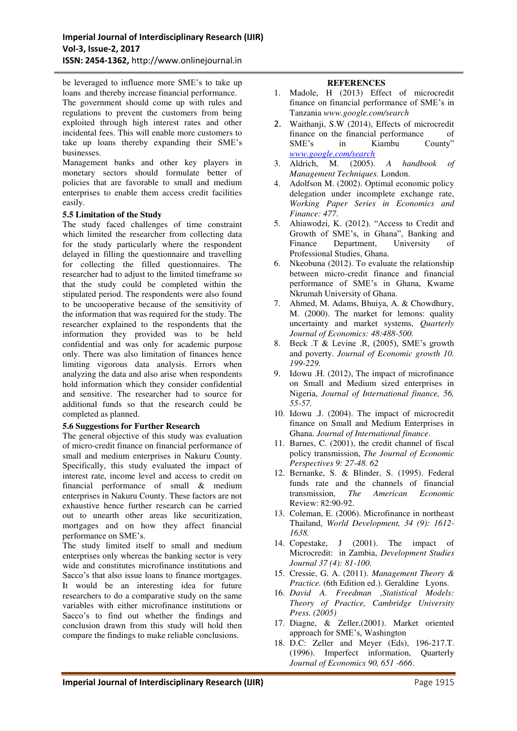be leveraged to influence more SME's to take up loans and thereby increase financial performance.

The government should come up with rules and regulations to prevent the customers from being exploited through high interest rates and other incidental fees. This will enable more customers to take up loans thereby expanding their SME's businesses.

Management banks and other key players in monetary sectors should formulate better of policies that are favorable to small and medium enterprises to enable them access credit facilities easily.

# **5.5 Limitation of the Study**

The study faced challenges of time constraint which limited the researcher from collecting data for the study particularly where the respondent delayed in filling the questionnaire and travelling for collecting the filled questionnaires. The researcher had to adjust to the limited timeframe so that the study could be completed within the stipulated period. The respondents were also found to be uncooperative because of the sensitivity of the information that was required for the study. The researcher explained to the respondents that the information they provided was to be held confidential and was only for academic purpose only. There was also limitation of finances hence limiting vigorous data analysis. Errors when analyzing the data and also arise when respondents hold information which they consider confidential and sensitive. The researcher had to source for additional funds so that the research could be completed as planned.

### **5.6 Suggestions for Further Research**

The general objective of this study was evaluation of micro-credit finance on financial performance of small and medium enterprises in Nakuru County. Specifically, this study evaluated the impact of interest rate, income level and access to credit on financial performance of small & medium enterprises in Nakuru County. These factors are not exhaustive hence further research can be carried out to unearth other areas like securitization, mortgages and on how they affect financial performance on SME's.

The study limited itself to small and medium enterprises only whereas the banking sector is very wide and constitutes microfinance institutions and Sacco's that also issue loans to finance mortgages. It would be an interesting idea for future researchers to do a comparative study on the same variables with either microfinance institutions or Sacco's to find out whether the findings and conclusion drawn from this study will hold then compare the findings to make reliable conclusions.

### **REFERENCES**

- 1. Madole, H (2013) Effect of microcredit finance on financial performance of SME's in Tanzania *www.google.com/search*
- 2. Waithanji, S.W (2014), Effects of microcredit finance on the financial performance of SME's in Kiambu County" *[www.google.com/search](http://www.google.com/search)*
- 3. Aldrich, M. (2005). *A handbook of Management Techniques.* London.
- 4. Adolfson M. (2002). Optimal economic policy delegation under incomplete exchange rate, *Working Paper Series in Economics and Finance: 477*.
- 5. Ahiawodzi, K. (2012). "Access to Credit and Growth of SME's, in Ghana", Banking and Finance Department, University Professional Studies, Ghana.
- 6. Nkeobuna (2012). To evaluate the relationship between micro-credit finance and financial performance of SME's in Ghana, Kwame Nkrumah University of Ghana.
- 7. Ahmed, M. Adams, Bhuiya, A. & Chowdhury, M. (2000). The market for lemons: quality uncertainty and market systems, *Quarterly Journal of Economics: 48:488-500.*
- 8. Beck .T & Levine .R, (2005), SME's growth and poverty. *Journal of Economic growth 10. 199-229.*
- 9. Idowu .H. (2012), The impact of microfinance on Small and Medium sized enterprises in Nigeria, *Journal of International finance, 56, 55-57.*
- 10. Idowu .J. (2004). The impact of microcredit finance on Small and Medium Enterprises in Ghana. *Journal of International finance*.
- 11. Barnes, C. (2001), the credit channel of fiscal policy transmission, *The Journal of Economic Perspectives 9: 27-48. 62*
- 12. Bernanke, S. & Blinder, S. (1995). Federal funds rate and the channels of financial<br>transmission. The American Economic transmission, *The American Economic*  Review: 82:90-92.
- 13. Coleman, E. (2006). Microfinance in northeast Thailand, *World Development, 34 (9): 1612- 1638.*
- 14. Copestake, J (2001). The impact of Microcredit: in Zambia, *Development Studies Journal 37 (4): 81-100.*
- 15. Cressie, G. A. (2011). *Management Theory & Practice.* (6th Edition ed.). Geraldine Lyons.
- 16. *David A. Freedman ,Statistical Models: Theory of Practice, Cambridge University Press. (2005)*
- 17. Diagne, & Zeller,(2001). Market oriented approach for SME's, Washington
- 18. D.C: Zeller and Meyer (Eds), 196-217.T. (1996). Imperfect information, Quarterly *Journal of Economics 90, 651 -666*.